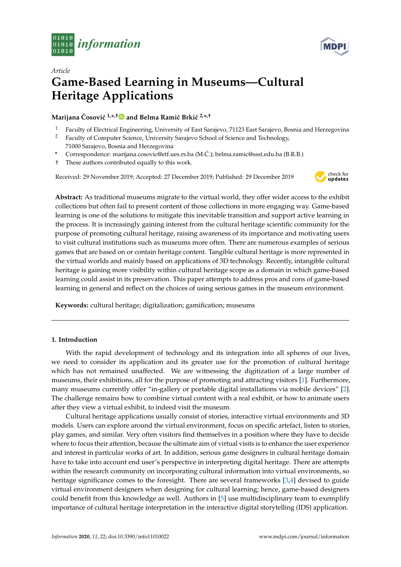



# *Article* **Game-Based Learning in Museums—Cultural Heritage Applications**

## $\bf{M}$ arijana Ćosović  $\mathbf{1}$ , $^{*,\dagger}$   $\bf{0}$  and Belma Ramić Brkić  $^{2,*,\dagger}$

- <sup>1</sup> Faculty of Electrical Engineering, University of East Sarajevo, 71123 East Sarajevo, Bosnia and Herzegovina<br><sup>2</sup> Easylty of Computer Science, University Sarajevo, School of Science and Technology
- <sup>2</sup> Faculty of Computer Science, University Sarajevo School of Science and Technology, 71000 Sarajevo, Bosnia and Herzegovina
- **\*** Correspondence: marijana.cosovic@etf.ues.rs.ba (M.C.); belma.ramic@ssst.edu.ba (B.R.B.) ´
- † These authors contributed equally to this work.

Received: 29 November 2019; Accepted: 27 December 2019; Published: 29 December 2019



**Abstract:** As traditional museums migrate to the virtual world, they offer wider access to the exhibit collections but often fail to present content of those collections in more engaging way. Game-based learning is one of the solutions to mitigate this inevitable transition and support active learning in the process. It is increasingly gaining interest from the cultural heritage scientific community for the purpose of promoting cultural heritage, raising awareness of its importance and motivating users to visit cultural institutions such as museums more often. There are numerous examples of serious games that are based on or contain heritage content. Tangible cultural heritage is more represented in the virtual worlds and mainly based on applications of 3D technology. Recently, intangible cultural heritage is gaining more visibility within cultural heritage scope as a domain in which game-based learning could assist in its preservation. This paper attempts to address pros and cons of game-based learning in general and reflect on the choices of using serious games in the museum environment.

**Keywords:** cultural heritage; digitalization; gamification; museums

## **1. Introduction**

With the rapid development of technology and its integration into all spheres of our lives, we need to consider its application and its greater use for the promotion of cultural heritage which has not remained unaffected. We are witnessing the digitization of a large number of museums, their exhibitions, all for the purpose of promoting and attracting visitors [\[1\]](#page-9-0). Furthermore, many museums currently offer "in-gallery or portable digital installations via mobile devices" [\[2\]](#page-9-1). The challenge remains how to combine virtual content with a real exhibit, or how to animate users after they view a virtual exhibit, to indeed visit the museum.

Cultural heritage applications usually consist of stories, interactive virtual environments and 3D models. Users can explore around the virtual environment, focus on specific artefact, listen to stories, play games, and similar. Very often visitors find themselves in a position where they have to decide where to focus their attention, because the ultimate aim of virtual visits is to enhance the user experience and interest in particular works of art. In addition, serious game designers in cultural heritage domain have to take into account end user's perspective in interpreting digital heritage. There are attempts within the research community on incorporating cultural information into virtual environments, so heritage significance comes to the foresight. There are several frameworks [\[3,](#page-9-2)[4\]](#page-9-3) devised to guide virtual environment designers when designing for cultural learning; hence, game-based designers could benefit from this knowledge as well. Authors in [\[5\]](#page-9-4) use multidisciplinary team to exemplify importance of cultural heritage interpretation in the interactive digital storytelling (IDS) application.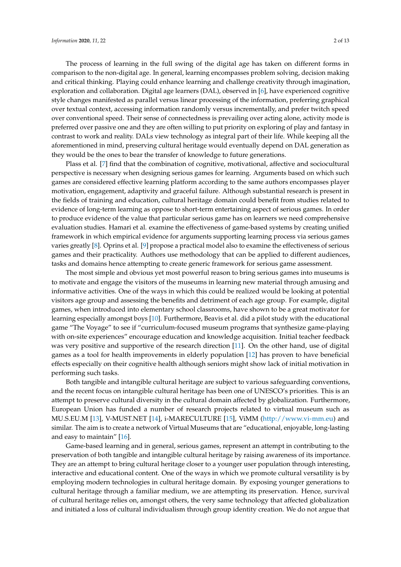The process of learning in the full swing of the digital age has taken on different forms in comparison to the non-digital age. In general, learning encompasses problem solving, decision making and critical thinking. Playing could enhance learning and challenge creativity through imagination, exploration and collaboration. Digital age learners (DAL), observed in [\[6\]](#page-9-5), have experienced cognitive style changes manifested as parallel versus linear processing of the information, preferring graphical over textual context, accessing information randomly versus incrementally, and prefer twitch speed over conventional speed. Their sense of connectedness is prevailing over acting alone, activity mode is preferred over passive one and they are often willing to put priority on exploring of play and fantasy in contrast to work and reality. DALs view technology as integral part of their life. While keeping all the aforementioned in mind, preserving cultural heritage would eventually depend on DAL generation as they would be the ones to bear the transfer of knowledge to future generations.

Plass et al. [\[7\]](#page-9-6) find that the combination of cognitive, motivational, affective and sociocultural perspective is necessary when designing serious games for learning. Arguments based on which such games are considered effective learning platform according to the same authors encompasses player motivation, engagement, adaptivity and graceful failure. Although substantial research is present in the fields of training and education, cultural heritage domain could benefit from studies related to evidence of long-term learning as oppose to short-term entertaining aspect of serious games. In order to produce evidence of the value that particular serious game has on learners we need comprehensive evaluation studies. Hamari et al. examine the effectiveness of game-based systems by creating unified framework in which empirical evidence for arguments supporting learning process via serious games varies greatly [\[8\]](#page-9-7). Oprins et al. [\[9\]](#page-9-8) propose a practical model also to examine the effectiveness of serious games and their practicality. Authors use methodology that can be applied to different audiences, tasks and domains hence attempting to create generic framework for serious game assessment.

The most simple and obvious yet most powerful reason to bring serious games into museums is to motivate and engage the visitors of the museums in learning new material through amusing and informative activities. One of the ways in which this could be realized would be looking at potential visitors age group and assessing the benefits and detriment of each age group. For example, digital games, when introduced into elementary school classrooms, have shown to be a great motivator for learning especially amongst boys [\[10\]](#page-10-0). Furthermore, Beavis et al. did a pilot study with the educational game "The Voyage" to see if "curriculum-focused museum programs that synthesize game-playing with on-site experiences" encourage education and knowledge acquisition. Initial teacher feedback was very positive and supportive of the research direction [\[11\]](#page-10-1). On the other hand, use of digital games as a tool for health improvements in elderly population [\[12\]](#page-10-2) has proven to have beneficial effects especially on their cognitive health although seniors might show lack of initial motivation in performing such tasks.

Both tangible and intangible cultural heritage are subject to various safeguarding conventions, and the recent focus on intangible cultural heritage has been one of UNESCO's priorities. This is an attempt to preserve cultural diversity in the cultural domain affected by globalization. Furthermore, European Union has funded a number of research projects related to virtual museum such as MU.S.EU.M [\[13\]](#page-10-3), V-MUST.NET [\[14\]](#page-10-4), i-MARECULTURE [\[15\]](#page-10-5), ViMM [\(http://www.vi-mm.eu\)](http://www.vi-mm.eu) and similar. The aim is to create a network of Virtual Museums that are "educational, enjoyable, long-lasting and easy to maintain" [\[16\]](#page-10-6).

Game-based learning and in general, serious games, represent an attempt in contributing to the preservation of both tangible and intangible cultural heritage by raising awareness of its importance. They are an attempt to bring cultural heritage closer to a younger user population through interesting, interactive and educational content. One of the ways in which we promote cultural versatility is by employing modern technologies in cultural heritage domain. By exposing younger generations to cultural heritage through a familiar medium, we are attempting its preservation. Hence, survival of cultural heritage relies on, amongst others, the very same technology that affected globalization and initiated a loss of cultural individualism through group identity creation. We do not argue that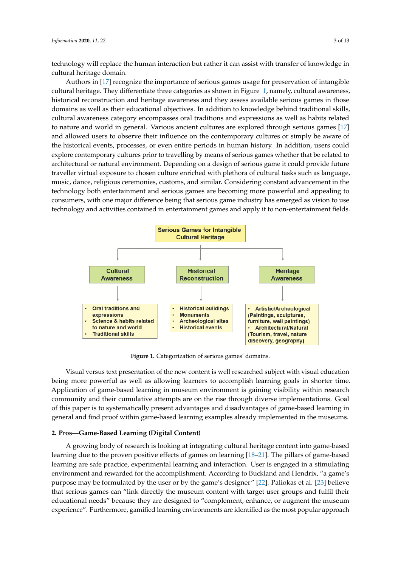technology will replace the human interaction but rather it can assist with transfer of knowledge in cultural heritage domain.

Authors in [\[17\]](#page-10-7) recognize the importance of serious games usage for preservation of intangible cultural heritage. They differentiate three categories as shown in Figure [1,](#page-2-0) namely, cultural awareness, historical reconstruction and heritage awareness and they assess available serious games in those domains as well as their educational objectives. In addition to knowledge behind traditional skills, cultural awareness category encompasses oral traditions and expressions as well as habits related to nature and world in general. Various ancient cultures are explored through serious games [\[17\]](#page-10-7) and allowed users to observe their influence on the contemporary cultures or simply be aware of the historical events, processes, or even entire periods in human history. In addition, users could explore contemporary cultures prior to travelling by means of serious games whether that be related to architectural or natural environment. Depending on a design of serious game it could provide future traveller virtual exposure to chosen culture enriched with plethora of cultural tasks such as language, music, dance, religious ceremonies, customs, and similar. Considering constant advancement in the technology both entertainment and serious games are becoming more powerful and appealing to consumers, with one major difference being that serious game industry has emerged as vision to use technology and activities contained in entertainment games and apply it to non-entertainment fields.

<span id="page-2-0"></span>

**Figure 1.** Categorization of serious games' domains.

Visual versus text presentation of the new content is well researched subject with visual education being more powerful as well as allowing learners to accomplish learning goals in shorter time. Application of game-based learning in museum environment is gaining visibility within research community and their cumulative attempts are on the rise through diverse implementations. Goal of this paper is to systematically present advantages and disadvantages of game-based learning in general and find proof within game-based learning examples already implemented in the museums.

#### **2. Pros—Game-Based Learning (Digital Content)**

A growing body of research is looking at integrating cultural heritage content into game-based learning due to the proven positive effects of games on learning [\[18–](#page-10-8)[21\]](#page-10-9). The pillars of game-based learning are safe practice, experimental learning and interaction. User is engaged in a stimulating environment and rewarded for the accomplishment. According to Buckland and Hendrix, "a game's purpose may be formulated by the user or by the game's designer" [\[22\]](#page-10-10). Paliokas et al. [\[23\]](#page-10-11) believe that serious games can "link directly the museum content with target user groups and fulfil their educational needs" because they are designed to "complement, enhance, or augment the museum experience". Furthermore, gamified learning environments are identified as the most popular approach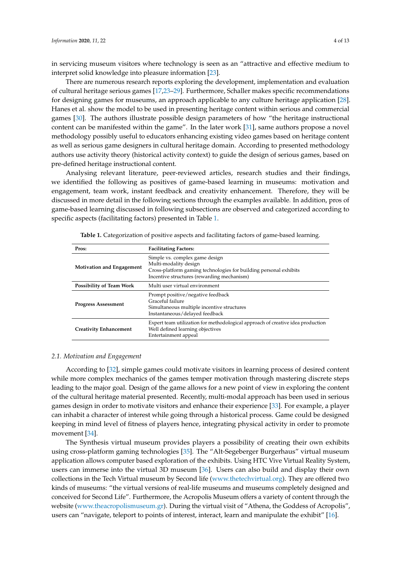in servicing museum visitors where technology is seen as an "attractive and effective medium to interpret solid knowledge into pleasure information [\[23\]](#page-10-11).

There are numerous research reports exploring the development, implementation and evaluation of cultural heritage serious games [\[17](#page-10-7)[,23–](#page-10-11)[29\]](#page-11-0). Furthermore, Schaller makes specific recommendations for designing games for museums, an approach applicable to any culture heritage application [\[28\]](#page-10-12). Hanes et al. show the model to be used in presenting heritage content within serious and commercial games [\[30\]](#page-11-1). The authors illustrate possible design parameters of how "the heritage instructional content can be manifested within the game". In the later work [\[31\]](#page-11-2), same authors propose a novel methodology possibly useful to educators enhancing existing video games based on heritage content as well as serious game designers in cultural heritage domain. According to presented methodology authors use activity theory (historical activity context) to guide the design of serious games, based on pre-defined heritage instructional content.

Analysing relevant literature, peer-reviewed articles, research studies and their findings, we identified the following as positives of game-based learning in museums: motivation and engagement, team work, instant feedback and creativity enhancement. Therefore, they will be discussed in more detail in the following sections through the examples available. In addition, pros of game-based learning discussed in following subsections are observed and categorized according to specific aspects (facilitating factors) presented in Table [1.](#page-3-0)

<span id="page-3-0"></span>

| Pros:                            | <b>Facilitating Factors:</b>                                                                                                                                               |  |  |
|----------------------------------|----------------------------------------------------------------------------------------------------------------------------------------------------------------------------|--|--|
| <b>Motivation and Engagement</b> | Simple vs. complex game design<br>Multi-modality design<br>Cross-platform gaming technologies for building personal exhibits<br>Incentive structures (rewarding mechanism) |  |  |
| Possibility of Team Work         | Multi user virtual environment                                                                                                                                             |  |  |
| <b>Progress Assessment</b>       | Prompt positive/negative feedback<br>Graceful failure<br>Simultaneous multiple incentive structures<br>Instantaneous/delayed feedback                                      |  |  |
| <b>Creativity Enhancement</b>    | Expert team utilization for methodological approach of creative idea production<br>Well defined learning objectives<br>Entertainment appeal                                |  |  |

**Table 1.** Categorization of positive aspects and facilitating factors of game-based learning.

## *2.1. Motivation and Engagement*

According to [\[32\]](#page-11-3), simple games could motivate visitors in learning process of desired content while more complex mechanics of the games temper motivation through mastering discrete steps leading to the major goal. Design of the game allows for a new point of view in exploring the content of the cultural heritage material presented. Recently, multi-modal approach has been used in serious games design in order to motivate visitors and enhance their experience [\[33\]](#page-11-4). For example, a player can inhabit a character of interest while going through a historical process. Game could be designed keeping in mind level of fitness of players hence, integrating physical activity in order to promote movement [\[34\]](#page-11-5).

The Synthesis virtual museum provides players a possibility of creating their own exhibits using cross-platform gaming technologies [\[35\]](#page-11-6). The "Alt-Segeberger Burgerhaus" virtual museum application allows computer based exploration of the exhibits. Using HTC Vive Virtual Reality System, users can immerse into the virtual 3D museum [\[36\]](#page-11-7). Users can also build and display their own collections in the Tech Virtual museum by Second life [\(www.thetechvirtual.org\)](www.thetechvirtual.org). They are offered two kinds of museums: "the virtual versions of real-life museums and museums completely designed and conceived for Second Life". Furthermore, the Acropolis Museum offers a variety of content through the website [\(www.theacropolismuseum.gr\)](www.theacropolismuseum.gr). During the virtual visit of "Athena, the Goddess of Acropolis", users can "navigate, teleport to points of interest, interact, learn and manipulate the exhibit" [\[16\]](#page-10-6).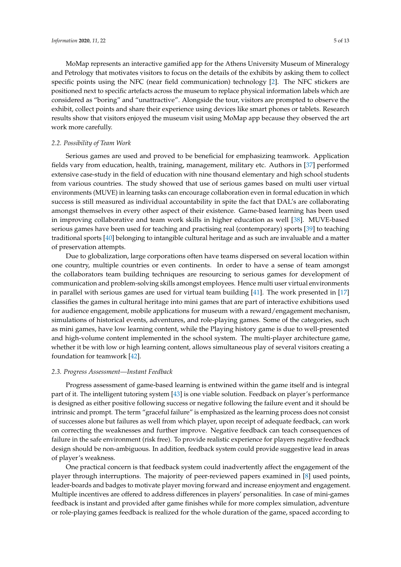MoMap represents an interactive gamified app for the Athens University Museum of Mineralogy and Petrology that motivates visitors to focus on the details of the exhibits by asking them to collect specific points using the NFC (near field communication) technology [\[2\]](#page-9-1). The NFC stickers are positioned next to specific artefacts across the museum to replace physical information labels which are considered as "boring" and "unattractive". Alongside the tour, visitors are prompted to observe the exhibit, collect points and share their experience using devices like smart phones or tablets. Research results show that visitors enjoyed the museum visit using MoMap app because they observed the art work more carefully.

## *2.2. Possibility of Team Work*

Serious games are used and proved to be beneficial for emphasizing teamwork. Application fields vary from education, health, training, management, military etc. Authors in [\[37\]](#page-11-8) performed extensive case-study in the field of education with nine thousand elementary and high school students from various countries. The study showed that use of serious games based on multi user virtual environments (MUVE) in learning tasks can encourage collaboration even in formal education in which success is still measured as individual accountability in spite the fact that DAL's are collaborating amongst themselves in every other aspect of their existence. Game-based learning has been used in improving collaborative and team work skills in higher education as well [\[38\]](#page-11-9). MUVE-based serious games have been used for teaching and practising real (contemporary) sports [\[39\]](#page-11-10) to teaching traditional sports [\[40\]](#page-11-11) belonging to intangible cultural heritage and as such are invaluable and a matter of preservation attempts.

Due to globalization, large corporations often have teams dispersed on several location within one country, multiple countries or even continents. In order to have a sense of team amongst the collaborators team building techniques are resourcing to serious games for development of communication and problem-solving skills amongst employees. Hence multi user virtual environments in parallel with serious games are used for virtual team building [\[41\]](#page-11-12). The work presented in [\[17\]](#page-10-7) classifies the games in cultural heritage into mini games that are part of interactive exhibitions used for audience engagement, mobile applications for museum with a reward/engagement mechanism, simulations of historical events, adventures, and role-playing games. Some of the categories, such as mini games, have low learning content, while the Playing history game is due to well-presented and high-volume content implemented in the school system. The multi-player architecture game, whether it be with low or high learning content, allows simultaneous play of several visitors creating a foundation for teamwork [\[42\]](#page-11-13).

#### *2.3. Progress Assessment—Instant Feedback*

Progress assessment of game-based learning is entwined within the game itself and is integral part of it. The intelligent tutoring system [\[43\]](#page-11-14) is one viable solution. Feedback on player's performance is designed as either positive following success or negative following the failure event and it should be intrinsic and prompt. The term "graceful failure" is emphasized as the learning process does not consist of successes alone but failures as well from which player, upon receipt of adequate feedback, can work on correcting the weaknesses and further improve. Negative feedback can teach consequences of failure in the safe environment (risk free). To provide realistic experience for players negative feedback design should be non-ambiguous. In addition, feedback system could provide suggestive lead in areas of player's weakness.

One practical concern is that feedback system could inadvertently affect the engagement of the player through interruptions. The majority of peer-reviewed papers examined in [\[8\]](#page-9-7) used points, leader-boards and badges to motivate player moving forward and increase enjoyment and engagement. Multiple incentives are offered to address differences in players' personalities. In case of mini-games feedback is instant and provided after game finishes while for more complex simulation, adventure or role-playing games feedback is realized for the whole duration of the game, spaced according to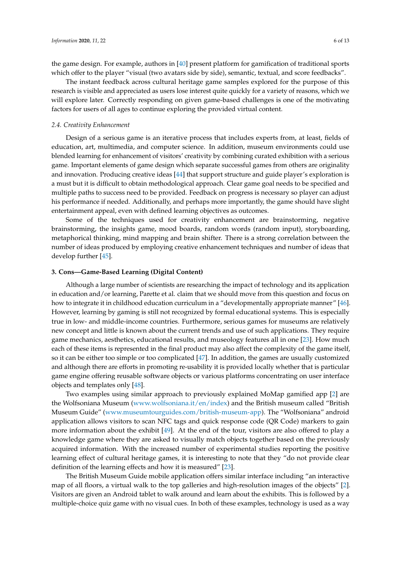the game design. For example, authors in [\[40\]](#page-11-11) present platform for gamification of traditional sports which offer to the player "visual (two avatars side by side), semantic, textual, and score feedbacks".

The instant feedback across cultural heritage game samples explored for the purpose of this research is visible and appreciated as users lose interest quite quickly for a variety of reasons, which we will explore later. Correctly responding on given game-based challenges is one of the motivating factors for users of all ages to continue exploring the provided virtual content.

#### *2.4. Creativity Enhancement*

Design of a serious game is an iterative process that includes experts from, at least, fields of education, art, multimedia, and computer science. In addition, museum environments could use blended learning for enhancement of visitors' creativity by combining curated exhibition with a serious game. Important elements of game design which separate successful games from others are originality and innovation. Producing creative ideas [\[44\]](#page-11-15) that support structure and guide player's exploration is a must but it is difficult to obtain methodological approach. Clear game goal needs to be specified and multiple paths to success need to be provided. Feedback on progress is necessary so player can adjust his performance if needed. Additionally, and perhaps more importantly, the game should have slight entertainment appeal, even with defined learning objectives as outcomes.

Some of the techniques used for creativity enhancement are brainstorming, negative brainstorming, the insights game, mood boards, random words (random input), storyboarding, metaphorical thinking, mind mapping and brain shifter. There is a strong correlation between the number of ideas produced by employing creative enhancement techniques and number of ideas that develop further [\[45\]](#page-11-16).

#### **3. Cons—Game-Based Learning (Digital Content)**

Although a large number of scientists are researching the impact of technology and its application in education and/or learning, Parette et al. claim that we should move from this question and focus on how to integrate it in childhood education curriculum in a "developmentally appropriate manner" [\[46\]](#page-11-17). However, learning by gaming is still not recognized by formal educational systems. This is especially true in low- and middle-income countries. Furthermore, serious games for museums are relatively new concept and little is known about the current trends and use of such applications. They require game mechanics, aesthetics, educational results, and museology features all in one [\[23\]](#page-10-11). How much each of these items is represented in the final product may also affect the complexity of the game itself, so it can be either too simple or too complicated [\[47\]](#page-11-18). In addition, the games are usually customized and although there are efforts in promoting re-usability it is provided locally whether that is particular game engine offering reusable software objects or various platforms concentrating on user interface objects and templates only [\[48\]](#page-11-19).

Two examples using similar approach to previously explained MoMap gamified app [\[2\]](#page-9-1) are the Wolfsoniana Museum [\(www.wolfsoniana.it/en/index\)](www.wolfsoniana.it/en/index) and the British museum called "British Museum Guide" [\(www.museumtourguides.com/british-museum-app\)](www.museumtourguides.com/british-museum-app). The "Wolfsoniana" android application allows visitors to scan NFC tags and quick response code (QR Code) markers to gain more information about the exhibit [\[49\]](#page-11-20). At the end of the tour, visitors are also offered to play a knowledge game where they are asked to visually match objects together based on the previously acquired information. With the increased number of experimental studies reporting the positive learning effect of cultural heritage games, it is interesting to note that they "do not provide clear definition of the learning effects and how it is measured" [\[23\]](#page-10-11).

The British Museum Guide mobile application offers similar interface including "an interactive map of all floors, a virtual walk to the top galleries and high-resolution images of the objects" [\[2\]](#page-9-1). Visitors are given an Android tablet to walk around and learn about the exhibits. This is followed by a multiple-choice quiz game with no visual cues. In both of these examples, technology is used as a way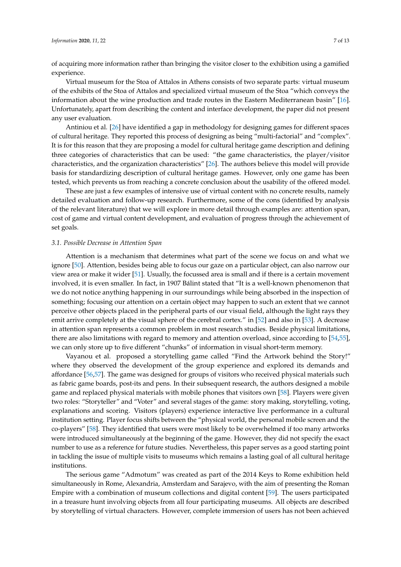of acquiring more information rather than bringing the visitor closer to the exhibition using a gamified experience.

Virtual museum for the Stoa of Attalos in Athens consists of two separate parts: virtual museum of the exhibits of the Stoa of Attalos and specialized virtual museum of the Stoa "which conveys the information about the wine production and trade routes in the Eastern Mediterranean basin" [\[16\]](#page-10-6). Unfortunately, apart from describing the content and interface development, the paper did not present any user evaluation.

Antiniou et al. [\[26\]](#page-10-13) have identified a gap in methodology for designing games for different spaces of cultural heritage. They reported this process of designing as being "multi-factorial" and "complex". It is for this reason that they are proposing a model for cultural heritage game description and defining three categories of characteristics that can be used: "the game characteristics, the player/visitor characteristics, and the organization characteristics" [\[26\]](#page-10-13). The authors believe this model will provide basis for standardizing description of cultural heritage games. However, only one game has been tested, which prevents us from reaching a concrete conclusion about the usability of the offered model.

These are just a few examples of intensive use of virtual content with no concrete results, namely detailed evaluation and follow-up research. Furthermore, some of the cons (identified by analysis of the relevant literature) that we will explore in more detail through examples are: attention span, cost of game and virtual content development, and evaluation of progress through the achievement of set goals.

#### *3.1. Possible Decrease in Attention Span*

Attention is a mechanism that determines what part of the scene we focus on and what we ignore [\[50\]](#page-11-21). Attention, besides being able to focus our gaze on a particular object, can also narrow our view area or make it wider [\[51\]](#page-11-22). Usually, the focussed area is small and if there is a certain movement involved, it is even smaller. In fact, in 1907 Bálint stated that "It is a well-known phenomenon that we do not notice anything happening in our surroundings while being absorbed in the inspection of something; focusing our attention on a certain object may happen to such an extent that we cannot perceive other objects placed in the peripheral parts of our visual field, although the light rays they emit arrive completely at the visual sphere of the cerebral cortex." in [\[52\]](#page-12-0) and also in [\[53\]](#page-12-1). A decrease in attention span represents a common problem in most research studies. Beside physical limitations, there are also limitations with regard to memory and attention overload, since according to [\[54,](#page-12-2)[55\]](#page-12-3), we can only store up to five different "chunks" of information in visual short-term memory.

Vayanou et al. proposed a storytelling game called "Find the Artwork behind the Story!" where they observed the development of the group experience and explored its demands and affordance [\[56](#page-12-4)[,57\]](#page-12-5). The game was designed for groups of visitors who received physical materials such as fabric game boards, post-its and pens. In their subsequent research, the authors designed a mobile game and replaced physical materials with mobile phones that visitors own [\[58\]](#page-12-6). Players were given two roles: "Storyteller" and "Voter" and several stages of the game: story making, storytelling, voting, explanations and scoring. Visitors (players) experience interactive live performance in a cultural institution setting. Player focus shifts between the "physical world, the personal mobile screen and the co-players" [\[58\]](#page-12-6). They identified that users were most likely to be overwhelmed if too many artworks were introduced simultaneously at the beginning of the game. However, they did not specify the exact number to use as a reference for future studies. Nevertheless, this paper serves as a good starting point in tackling the issue of multiple visits to museums which remains a lasting goal of all cultural heritage institutions.

The serious game "Admotum" was created as part of the 2014 Keys to Rome exhibition held simultaneously in Rome, Alexandria, Amsterdam and Sarajevo, with the aim of presenting the Roman Empire with a combination of museum collections and digital content [\[59\]](#page-12-7). The users participated in a treasure hunt involving objects from all four participating museums. All objects are described by storytelling of virtual characters. However, complete immersion of users has not been achieved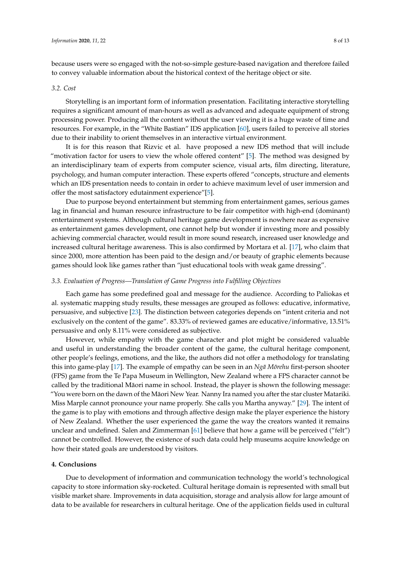because users were so engaged with the not-so-simple gesture-based navigation and therefore failed to convey valuable information about the historical context of the heritage object or site.

#### *3.2. Cost*

Storytelling is an important form of information presentation. Facilitating interactive storytelling requires a significant amount of man-hours as well as advanced and adequate equipment of strong processing power. Producing all the content without the user viewing it is a huge waste of time and resources. For example, in the "White Bastian" IDS application [\[60\]](#page-12-8), users failed to perceive all stories due to their inability to orient themselves in an interactive virtual environment.

It is for this reason that Rizvic et al. have proposed a new IDS method that will include "motivation factor for users to view the whole offered content" [\[5\]](#page-9-4). The method was designed by an interdisciplinary team of experts from computer science, visual arts, film directing, literature, psychology, and human computer interaction. These experts offered "concepts, structure and elements which an IDS presentation needs to contain in order to achieve maximum level of user immersion and offer the most satisfactory edutainment experience"[\[5\]](#page-9-4).

Due to purpose beyond entertainment but stemming from entertainment games, serious games lag in financial and human resource infrastructure to be fair competitor with high-end (dominant) entertainment systems. Although cultural heritage game development is nowhere near as expensive as entertainment games development, one cannot help but wonder if investing more and possibly achieving commercial character, would result in more sound research, increased user knowledge and increased cultural heritage awareness. This is also confirmed by Mortara et al. [\[17\]](#page-10-7), who claim that since 2000, more attention has been paid to the design and/or beauty of graphic elements because games should look like games rather than "just educational tools with weak game dressing".

#### *3.3. Evaluation of Progress—Translation of Game Progress into Fulfilling Objectives*

Each game has some predefined goal and message for the audience. According to Paliokas et al. systematic mapping study results, these messages are grouped as follows: educative, informative, persuasive, and subjective [\[23\]](#page-10-11). The distinction between categories depends on "intent criteria and not exclusively on the content of the game". 83.33% of reviewed games are educative/informative, 13.51% persuasive and only 8.11% were considered as subjective.

However, while empathy with the game character and plot might be considered valuable and useful in understanding the broader content of the game, the cultural heritage component, other people's feelings, emotions, and the like, the authors did not offer a methodology for translating this into game-play [\[17\]](#page-10-7). The example of empathy can be seen in an *Ngā Mōrehu* first-person shooter (FPS) game from the Te Papa Museum in Wellington, New Zealand where a FPS character cannot be called by the traditional Māori name in school. Instead, the player is shown the following message: "You were born on the dawn of the Maori New Year. Nanny Ira named you after the star cluster Matariki. ¯ Miss Marple cannot pronounce your name properly. She calls you Martha anyway." [\[29\]](#page-11-0). The intent of the game is to play with emotions and through affective design make the player experience the history of New Zealand. Whether the user experienced the game the way the creators wanted it remains unclear and undefined. Salen and Zimmerman [\[61\]](#page-12-9) believe that how a game will be perceived ("felt") cannot be controlled. However, the existence of such data could help museums acquire knowledge on how their stated goals are understood by visitors.

#### **4. Conclusions**

Due to development of information and communication technology the world's technological capacity to store information sky-rocketed. Cultural heritage domain is represented with small but visible market share. Improvements in data acquisition, storage and analysis allow for large amount of data to be available for researchers in cultural heritage. One of the application fields used in cultural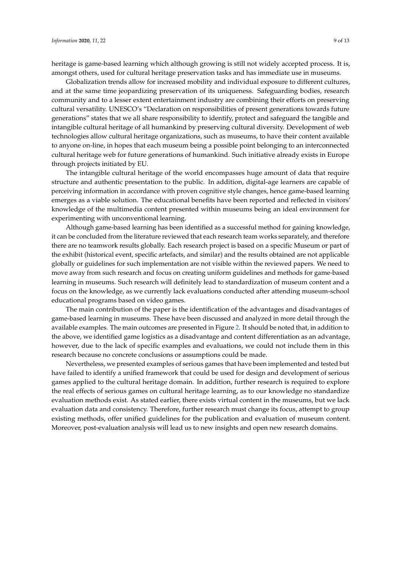heritage is game-based learning which although growing is still not widely accepted process. It is, amongst others, used for cultural heritage preservation tasks and has immediate use in museums.

Globalization trends allow for increased mobility and individual exposure to different cultures, and at the same time jeopardizing preservation of its uniqueness. Safeguarding bodies, research community and to a lesser extent entertainment industry are combining their efforts on preserving cultural versatility. UNESCO's "Declaration on responsibilities of present generations towards future generations" states that we all share responsibility to identify, protect and safeguard the tangible and intangible cultural heritage of all humankind by preserving cultural diversity. Development of web technologies allow cultural heritage organizations, such as museums, to have their content available to anyone on-line, in hopes that each museum being a possible point belonging to an interconnected cultural heritage web for future generations of humankind. Such initiative already exists in Europe through projects initiated by EU.

The intangible cultural heritage of the world encompasses huge amount of data that require structure and authentic presentation to the public. In addition, digital-age learners are capable of perceiving information in accordance with proven cognitive style changes, hence game-based learning emerges as a viable solution. The educational benefits have been reported and reflected in visitors' knowledge of the multimedia content presented within museums being an ideal environment for experimenting with unconventional learning.

Although game-based learning has been identified as a successful method for gaining knowledge, it can be concluded from the literature reviewed that each research team works separately, and therefore there are no teamwork results globally. Each research project is based on a specific Museum or part of the exhibit (historical event, specific artefacts, and similar) and the results obtained are not applicable globally or guidelines for such implementation are not visible within the reviewed papers. We need to move away from such research and focus on creating uniform guidelines and methods for game-based learning in museums. Such research will definitely lead to standardization of museum content and a focus on the knowledge, as we currently lack evaluations conducted after attending museum-school educational programs based on video games.

The main contribution of the paper is the identification of the advantages and disadvantages of game-based learning in museums. These have been discussed and analyzed in more detail through the available examples. The main outcomes are presented in Figure [2.](#page-9-9) It should be noted that, in addition to the above, we identified game logistics as a disadvantage and content differentiation as an advantage, however, due to the lack of specific examples and evaluations, we could not include them in this research because no concrete conclusions or assumptions could be made.

Nevertheless, we presented examples of serious games that have been implemented and tested but have failed to identify a unified framework that could be used for design and development of serious games applied to the cultural heritage domain. In addition, further research is required to explore the real effects of serious games on cultural heritage learning, as to our knowledge no standardize evaluation methods exist. As stated earlier, there exists virtual content in the museums, but we lack evaluation data and consistency. Therefore, further research must change its focus, attempt to group existing methods, offer unified guidelines for the publication and evaluation of museum content. Moreover, post-evaluation analysis will lead us to new insights and open new research domains.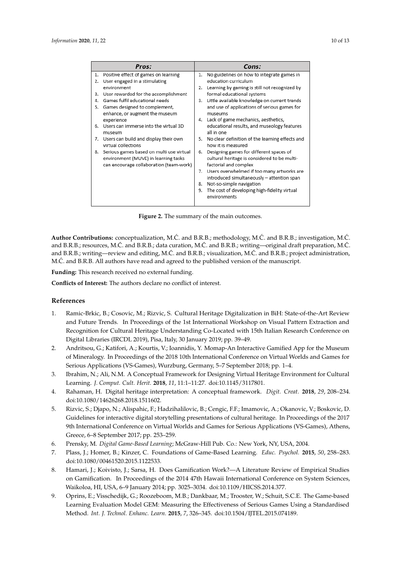<span id="page-9-9"></span>

| Pros:                               |                                                              | Cons: |                                                                       |  |
|-------------------------------------|--------------------------------------------------------------|-------|-----------------------------------------------------------------------|--|
| 1.                                  | Positive effect of games on learning                         | 1.    | No guidelines on how to integrate games in                            |  |
| 2.                                  | User engaged in a stimulating                                |       | education curriculum                                                  |  |
|                                     | environment                                                  | 2.    | Learning by gaming is still not recognized by                         |  |
| 3.                                  | User rewarded for the accomplishment                         |       | formal educational systems                                            |  |
| 4.                                  | Games fulfil educational needs                               | 3.    | Little available knowledge on current trends                          |  |
| Games designed to complement,<br>5. |                                                              |       | and use of applications of serious games for                          |  |
| enhance, or augment the museum      |                                                              |       | museums                                                               |  |
|                                     | experience                                                   | 4.    | Lack of game mechanics, aesthetics,                                   |  |
| б.                                  | Users can immerse into the virtual 3D                        |       | educational results, and museology features                           |  |
|                                     | museum                                                       |       | all in one                                                            |  |
| 7.                                  | Users can build and display their own<br>virtual collections | 5.    | No clear definition of the learning effects and<br>how it is measured |  |
| 8.                                  | Serious games based on multi use virtual                     | 6.    | Designing games for different spaces of                               |  |
|                                     | environment (MUVE) in learning tasks                         |       | cultural heritage is considered to be multi-                          |  |
|                                     | can encourage collaboration (team-work)                      |       | factorial and complex                                                 |  |
|                                     |                                                              | 7.    | Users overwhelmed if too many artworks are                            |  |
|                                     |                                                              |       | introduced simultaneously - attention span                            |  |
|                                     |                                                              | 8.    | Not-so-simple navigation                                              |  |
|                                     |                                                              | 9.    | The cost of developing high-fidelity virtual                          |  |
|                                     |                                                              |       | environments                                                          |  |
|                                     |                                                              |       |                                                                       |  |

**Figure 2.** The summary of the main outcomes.

Author Contributions: conceptualization, M.C. and B.R.B.; methodology, M.C. and B.R.B.; investigation, M.C. and B.R.B.; resources, M.C. and B.R.B.; data curation, M.C. and B.R.B.; writing—original draft preparation, M.C. and B.R.B.; writing—review and editing, M.Ć. and B.R.B.; visualization, M.Ć. and B.R.B.; project administration, M.C. and B.R.B. All authors have read and agreed to the published version of the manuscript. ´

**Funding:** This research received no external funding.

**Conflicts of Interest:** The authors declare no conflict of interest.

## **References**

- <span id="page-9-0"></span>1. Ramic-Brkic, B.; Cosovic, M.; Rizvic, S. Cultural Heritage Digitalization in BiH: State-of-the-Art Review and Future Trends. In Proceedings of the 1st International Workshop on Visual Pattern Extraction and Recognition for Cultural Heritage Understanding Co-Located with 15th Italian Research Conference on Digital Libraries (IRCDL 2019), Pisa, Italy, 30 January 2019; pp. 39–49.
- <span id="page-9-1"></span>2. Andritsou, G.; Katifori, A.; Kourtis, V.; Ioannidis, Y. Momap-An Interactive Gamified App for the Museum of Mineralogy. In Proceedings of the 2018 10th International Conference on Virtual Worlds and Games for Serious Applications (VS-Games), Wurzburg, Germany, 5–7 September 2018; pp. 1–4.
- <span id="page-9-2"></span>3. Ibrahim, N.; Ali, N.M. A Conceptual Framework for Designing Virtual Heritage Environment for Cultural Learning. *J. Comput. Cult. Herit.* **2018**, *11*, 11:1–11:27. doi:10.1145/3117801.
- <span id="page-9-3"></span>4. Rahaman, H. Digital heritage interpretation: A conceptual framework. *Digit. Creat.* **2018**, *29*, 208–234. doi:10.1080/14626268.2018.1511602.
- <span id="page-9-4"></span>5. Rizvic, S.; Djapo, N.; Alispahic, F.; Hadzihalilovic, B.; Cengic, F.F.; Imamovic, A.; Okanovic, V.; Boskovic, D. Guidelines for interactive digital storytelling presentations of cultural heritage. In Proceedings of the 2017 9th International Conference on Virtual Worlds and Games for Serious Applications (VS-Games), Athens, Greece, 6–8 September 2017; pp. 253–259.
- <span id="page-9-5"></span>6. Prensky, M. *Digital Game-Based Learning*; McGraw-Hill Pub. Co.: New York, NY, USA, 2004.
- <span id="page-9-6"></span>7. Plass, J.; Homer, B.; Kinzer, C. Foundations of Game-Based Learning. *Educ. Psychol.* **2015**, *50*, 258–283. doi:10.1080/00461520.2015.1122533.
- <span id="page-9-7"></span>8. Hamari, J.; Koivisto, J.; Sarsa, H. Does Gamification Work?—A Literature Review of Empirical Studies on Gamification. In Proceedings of the 2014 47th Hawaii International Conference on System Sciences, Waikoloa, HI, USA, 6–9 January 2014; pp. 3025–3034. doi:10.1109/HICSS.2014.377.
- <span id="page-9-8"></span>9. Oprins, E.; Visschedijk, G.; Roozeboom, M.B.; Dankbaar, M.; Trooster, W.; Schuit, S.C.E. The Game-based Learning Evaluation Model GEM: Measuring the Effectiveness of Serious Games Using a Standardised Method. *Int. J. Technol. Enhanc. Learn.* **2015**, *7*, 326–345. doi:10.1504/IJTEL.2015.074189.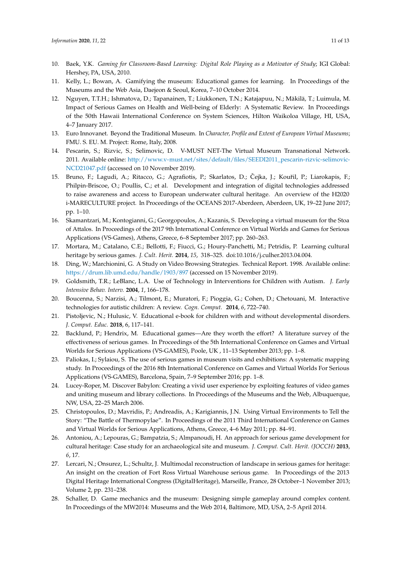- <span id="page-10-0"></span>10. Baek, Y.K. *Gaming for Classroom-Based Learning: Digital Role Playing as a Motivator of Study*; IGI Global: Hershey, PA, USA, 2010.
- <span id="page-10-1"></span>11. Kelly, L.; Bowan, A. Gamifying the museum: Educational games for learning. In Proceedings of the Museums and the Web Asia, Daejeon & Seoul, Korea, 7–10 October 2014.
- <span id="page-10-2"></span>12. Nguyen, T.T.H.; Ishmatova, D.; Tapanainen, T.; Liukkonen, T.N.; Katajapuu, N.; Mäkilä, T.; Luimula, M. Impact of Serious Games on Health and Well-being of Elderly: A Systematic Review. In Proceedings of the 50th Hawaii International Conference on System Sciences, Hilton Waikoloa Village, HI, USA, 4–7 January 2017.
- <span id="page-10-3"></span>13. Euro Innovanet. Beyond the Traditional Museum. In *Character, Profile and Extent of European Virtual Museums*; FMU. S. EU. M. Project: Rome, Italy, 2008.
- <span id="page-10-4"></span>14. Pescarin, S.; Rizvic, S.; Selimovic, D. V-MUST NET-The Virtual Museum Transnational Network. 2011. Available online: [http://www.v-must.net/sites/default/files/SEEDI2011\\_pescarin-rizvic-selimovic-](http://www.v-must.net/sites/default/files/SEEDI2011_pescarin-rizvic-selimovic-NCD21047.pdf)[NCD21047.pdf](http://www.v-must.net/sites/default/files/SEEDI2011_pescarin-rizvic-selimovic-NCD21047.pdf) (accessed on 10 November 2019).
- <span id="page-10-5"></span>15. Bruno, F.; Lagudi, A.; Ritacco, G.; Agrafiotis, P.; Skarlatos, D.; Čejka, J.; Kouřil, P.; Liarokapis, F.; Philpin-Briscoe, O.; Poullis, C.; et al. Development and integration of digital technologies addressed to raise awareness and access to European underwater cultural heritage. An overview of the H2020 i-MARECULTURE project. In Proceedings of the OCEANS 2017-Aberdeen, Aberdeen, UK, 19–22 June 2017; pp. 1–10.
- <span id="page-10-6"></span>16. Skamantzari, M.; Kontogianni, G.; Georgopoulos, A.; Kazanis, S. Developing a virtual museum for the Stoa of Attalos. In Proceedings of the 2017 9th International Conference on Virtual Worlds and Games for Serious Applications (VS-Games), Athens, Greece, 6–8 September 2017; pp. 260–263.
- <span id="page-10-7"></span>17. Mortara, M.; Catalano, C.E.; Bellotti, F.; Fiucci, G.; Houry-Panchetti, M.; Petridis, P. Learning cultural heritage by serious games. *J. Cult. Herit.* **2014**, *15*, 318–325. doi:10.1016/j.culher.2013.04.004.
- <span id="page-10-8"></span>18. Ding, W.; Marchionini, G. A Study on Video Browsing Strategies. Technical Report. 1998. Available online: <https://drum.lib.umd.edu/handle/1903/897> (accessed on 15 November 2019).
- 19. Goldsmith, T.R.; LeBlanc, L.A. Use of Technology in Interventions for Children with Autism. *J. Early Intensive Behav. Interv.* **2004**, *1*, 166–178.
- 20. Boucenna, S.; Narzisi, A.; Tilmont, E.; Muratori, F.; Pioggia, G.; Cohen, D.; Chetouani, M. Interactive technologies for autistic children: A review. *Cogn. Comput.* **2014**, *6*, 722–740.
- <span id="page-10-9"></span>21. Pistoljevic, N.; Hulusic, V. Educational e-book for children with and without developmental disorders. *J. Comput. Educ.* **2018**, 6, 117–141.
- <span id="page-10-10"></span>22. Backlund, P.; Hendrix, M. Educational games—Are they worth the effort? A literature survey of the effectiveness of serious games. In Proceedings of the 5th International Conference on Games and Virtual Worlds for Serious Applications (VS-GAMES), Poole, UK , 11–13 September 2013; pp. 1–8.
- <span id="page-10-11"></span>23. Paliokas, I.; Sylaiou, S. The use of serious games in museum visits and exhibitions: A systematic mapping study. In Proceedings of the 2016 8th International Conference on Games and Virtual Worlds For Serious Applications (VS-GAMES), Barcelona, Spain, 7–9 September 2016; pp. 1–8.
- 24. Lucey-Roper, M. Discover Babylon: Creating a vivid user experience by exploiting features of video games and uniting museum and library collections. In Proceedings of the Museums and the Web, Albuquerque, NW, USA, 22–25 March 2006.
- 25. Christopoulos, D.; Mavridis, P.; Andreadis, A.; Karigiannis, J.N. Using Virtual Environments to Tell the Story: "The Battle of Thermopylae". In Proceedings of the 2011 Third International Conference on Games and Virtual Worlds for Serious Applications, Athens, Greece, 4–6 May 2011; pp. 84–91.
- <span id="page-10-13"></span>26. Antoniou, A.; Lepouras, G.; Bampatzia, S.; Almpanoudi, H. An approach for serious game development for cultural heritage: Case study for an archaeological site and museum. *J. Comput. Cult. Herit. (JOCCH)* **2013**, *6*, 17.
- 27. Lercari, N.; Onsurez, L.; Schultz, J. Multimodal reconstruction of landscape in serious games for heritage: An insight on the creation of Fort Ross Virtual Warehouse serious game. In Proceedings of the 2013 Digital Heritage International Congress (DigitalHeritage), Marseille, France, 28 October–1 November 2013; Volume 2, pp. 231–238.
- <span id="page-10-12"></span>28. Schaller, D. Game mechanics and the museum: Designing simple gameplay around complex content. In Proceedings of the MW2014: Museums and the Web 2014, Baltimore, MD, USA, 2–5 April 2014.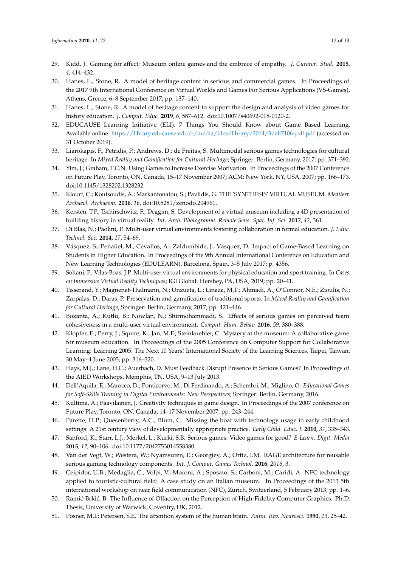- <span id="page-11-0"></span>29. Kidd, J. Gaming for affect: Museum online games and the embrace of empathy. *J. Curator. Stud.* **2015**, *4*, 414–432.
- <span id="page-11-1"></span>30. Hanes, L.; Stone, R. A model of heritage content in serious and commercial games. In Proceedings of the 2017 9th International Conference on Virtual Worlds and Games For Serious Applications (VS-Games), Athens, Greece, 6–8 September 2017; pp. 137–140.
- <span id="page-11-2"></span>31. Hanes, L.; Stone, R. A model of heritage content to support the design and analysis of video games for history education. *J. Comput. Educ.* **2019**, *6*, 587–612. doi:10.1007/s40692-018-0120-2.
- <span id="page-11-3"></span>32. EDUCAUSE Learning Initiative (ELI). 7 Things You Should Know about Game Based Learning. Available online: <https://library.educause.edu/-/media/files/library/2014/3/eli7106-pdf.pdf> (accessed on 31 October 2019).
- <span id="page-11-4"></span>33. Liarokapis, F.; Petridis, P.; Andrews, D.; de Freitas, S. Multimodal serious games technologies for cultural heritage. In *Mixed Reality and Gamification for Cultural Heritage*; Springer: Berlin, Germany, 2017; pp. 371–392.
- <span id="page-11-5"></span>34. Yim, J.; Graham, T.C.N. Using Games to Increase Exercise Motivation. In Proceedings of the 2007 Conference on Future Play, Toronto, ON, Canada, 15–17 November 2007; ACM: New York, NY, USA, 2007; pp. 166–173. doi:10.1145/1328202.1328232.
- <span id="page-11-6"></span>35. Kiourt, C.; Koutsoudis, A.; Markantonatou, S.; Pavlidis, G. THE 'SYNTHESIS' VIRTUAL MUSEUM. *Mediterr. Archaeol. Archaeom.* **2016**, *16*, doi:10.5281/zenodo.204961.
- <span id="page-11-7"></span>36. Kersten, T.P.; Tschirschwitz, F.; Deggim, S. Development of a virtual museum including a 4D presentation of building history in virtual reality. *Int. Arch. Photogramm. Remote Sens. Spat. Inf. Sci.* **2017**, *42*, 361.
- <span id="page-11-8"></span>37. Di Blas, N.; Paolini, P. Multi-user virtual environments fostering collaboration in formal education. *J. Educ. Technol. Soc.* **2014**, *17*, 54–69.
- <span id="page-11-9"></span>38. Vásquez, S.; Peñafiel, M.; Cevallos, A.; Zaldumbide, J.; Vásquez, D. Impact of Game-Based Learning on Students in Higher Education. In Proceedings of the 9th Annual International Conference on Education and New Learning Technologies (EDULEARN), Barcelona, Spain, 3–5 July 2017; p. 4356.
- <span id="page-11-10"></span>39. Soltani, P.; Vilas-Boas, J.P. Multi-user virtual environments for physical education and sport training. In *Cases on Immersive Virtual Reality Techniques*; IGI Global: Hershey, PA, USA, 2019; pp. 20–41.
- <span id="page-11-11"></span>40. Tisserand, Y.; Magnenat-Thalmann, N.; Unzueta, L.; Linaza, M.T.; Ahmadi, A.; O'Connor, N.E.; Zioulis, N.; Zarpalas, D.; Daras, P. Preservation and gamification of traditional sports. In *Mixed Reality and Gamification for Cultural Heritage*; Springer: Berlin, Germany, 2017; pp. 421–446.
- <span id="page-11-12"></span>41. Bozanta, A.; Kutlu, B.; Nowlan, N.; Shirmohammadi, S. Effects of serious games on perceived team cohesiveness in a multi-user virtual environment. *Comput. Hum. Behav.* **2016**, *59*, 380–388.
- <span id="page-11-13"></span>42. Klopfer, E.; Perry, J.; Squire, K.; Jan, M.F.; Steinkuehler, C. Mystery at the museum: A collaborative game for museum education. In Proceedings of the 2005 Conference on Computer Support for Collaborative Learning: Learning 2005: The Next 10 Years! International Society of the Learning Sciences, Taipei, Taiwan, 30 May–4 June 2005; pp. 316–320.
- <span id="page-11-14"></span>43. Hays, M.J.; Lane, H.C.; Auerbach, D. Must Feedback Disrupt Presence in Serious Games? In Proceedings of the AIED Workshops, Memphis, TN, USA, 9–13 July 2013.
- <span id="page-11-15"></span>44. Dell'Aquila, E.; Marocco, D.; Ponticorvo, M.; Di Ferdinando, A.; Schembri, M.; Miglino, O. *Educational Games for Soft-Skills Training in Digital Environments: New Perspectives*; Springer: Berlin, Germany, 2016.
- <span id="page-11-16"></span>45. Kultima, A.; Paavilainen, J. Creativity techniques in game design. In Proceedings of the 2007 conference on Future Play, Toronto, ON, Canada, 14–17 November 2007, pp. 243–244.
- <span id="page-11-17"></span>46. Parette, H.P.; Quesenberry, A.C.; Blum, C. Missing the boat with technology usage in early childhood settings: A 21st century view of developmentally appropriate practice. *Early Child. Educ. J.* **2010**, *37*, 335–343.
- <span id="page-11-18"></span>47. Sanford, K.; Starr, L.J.; Merkel, L.; Kurki, S.B. Serious games: Video games for good? *E-Learn. Digit. Media* **2015**, *12*, 90–106. doi:10.1177/2042753014558380.
- <span id="page-11-19"></span>48. Van der Vegt, W.; Westera, W.; Nyamsuren, E.; Georgiev, A.; Ortiz, I.M. RAGE architecture for reusable serious gaming technology components. *Int. J. Comput. Games Technol.* **2016**, *2016*, 3.
- <span id="page-11-20"></span>49. Ceipidor, U.B.; Medaglia, C.; Volpi, V.; Moroni, A.; Sposato, S.; Carboni, M.; Caridi, A. NFC technology applied to touristic-cultural field: A case study on an Italian museum. In Proceedings of the 2013 5th international workshop on near field communication (NFC), Zurich, Switzerland, 5 February 2013; pp. 1–6.
- <span id="page-11-21"></span>50. Ramić-Brkić, B. The Influence of Olfaction on the Perception of High-Fidelity Computer Graphics. Ph.D. Thesis, University of Warwick, Coventry, UK, 2012.
- <span id="page-11-22"></span>51. Posner, M.I.; Petersen, S.E. The attention system of the human brain. *Annu. Rev. Neurosci.* **1990**, *13*, 25–42.